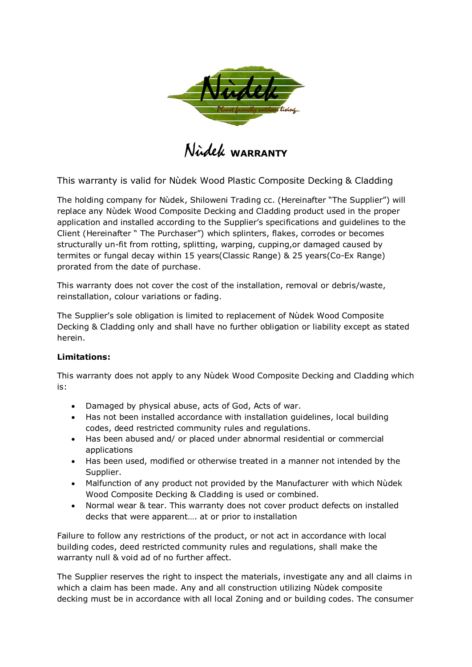

Nùdek **WARRANTY**

This warranty is valid for Nùdek Wood Plastic Composite Decking & Cladding

The holding company for Nùdek, Shiloweni Trading cc. (Hereinafter "The Supplier") will replace any Nùdek Wood Composite Decking and Cladding product used in the proper application and installed according to the Supplier's specifications and guidelines to the Client (Hereinafter " The Purchaser") which splinters, flakes, corrodes or becomes structurally un-fit from rotting, splitting, warping, cupping,or damaged caused by termites or fungal decay within 15 years(Classic Range) & 25 years(Co-Ex Range) prorated from the date of purchase.

This warranty does not cover the cost of the installation, removal or debris/waste, reinstallation, colour variations or fading.

The Supplier's sole obligation is limited to replacement of Nùdek Wood Composite Decking & Cladding only and shall have no further obligation or liability except as stated herein.

## **Limitations:**

This warranty does not apply to any Nùdek Wood Composite Decking and Cladding which is:

- Damaged by physical abuse, acts of God, Acts of war.
- Has not been installed accordance with installation guidelines, local building codes, deed restricted community rules and regulations.
- Has been abused and/ or placed under abnormal residential or commercial applications
- Has been used, modified or otherwise treated in a manner not intended by the Supplier.
- Malfunction of any product not provided by the Manufacturer with which Nùdek Wood Composite Decking & Cladding is used or combined.
- Normal wear & tear. This warranty does not cover product defects on installed decks that were apparent…. at or prior to installation

Failure to follow any restrictions of the product, or not act in accordance with local building codes, deed restricted community rules and regulations, shall make the warranty null & void ad of no further affect.

The Supplier reserves the right to inspect the materials, investigate any and all claims in which a claim has been made. Any and all construction utilizing Nùdek composite decking must be in accordance with all local Zoning and or building codes. The consumer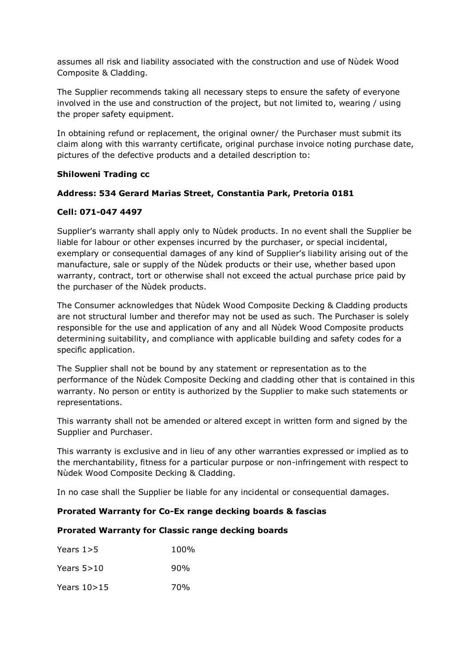assumes all risk and liability associated with the construction and use of Nùdek Wood Composite & Cladding.

The Supplier recommends taking all necessary steps to ensure the safety of everyone involved in the use and construction of the project, but not limited to, wearing / using the proper safety equipment.

In obtaining refund or replacement, the original owner/ the Purchaser must submit its claim along with this warranty certificate, original purchase invoice noting purchase date, pictures of the defective products and a detailed description to:

## **Shiloweni Trading cc**

## **Address: 534 Gerard Marias Street, Constantia Park, Pretoria 0181**

## **Cell: 071-047 4497**

Supplier's warranty shall apply only to Nùdek products. In no event shall the Supplier be liable for labour or other expenses incurred by the purchaser, or special incidental, exemplary or consequential damages of any kind of Supplier's liability arising out of the manufacture, sale or supply of the Nùdek products or their use, whether based upon warranty, contract, tort or otherwise shall not exceed the actual purchase price paid by the purchaser of the Nùdek products.

The Consumer acknowledges that Nùdek Wood Composite Decking & Cladding products are not structural lumber and therefor may not be used as such. The Purchaser is solely responsible for the use and application of any and all Nùdek Wood Composite products determining suitability, and compliance with applicable building and safety codes for a specific application.

The Supplier shall not be bound by any statement or representation as to the performance of the Nùdek Composite Decking and cladding other that is contained in this warranty. No person or entity is authorized by the Supplier to make such statements or representations.

This warranty shall not be amended or altered except in written form and signed by the Supplier and Purchaser.

This warranty is exclusive and in lieu of any other warranties expressed or implied as to the merchantability, fitness for a particular purpose or non-infringement with respect to Nùdek Wood Composite Decking & Cladding.

In no case shall the Supplier be liable for any incidental or consequential damages.

## **Prorated Warranty for Co-Ex range decking boards & fascias**

### **Prorated Warranty for Classic range decking boards**

| Years $1>5$   | 100% |
|---------------|------|
| Years $5>10$  | 90%  |
| Years $10>15$ | 70%  |